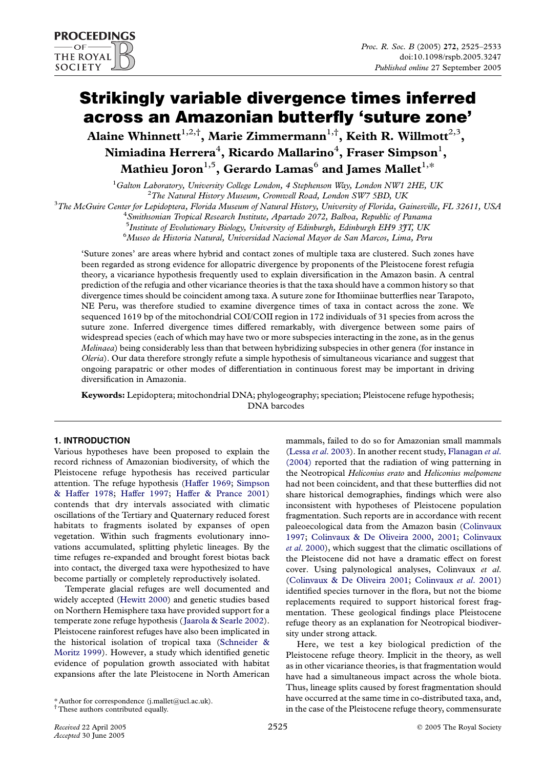# Strikingly variable divergence times inferred across an Amazonian butterfly 'suture zone'

Alaine Whinnett $^{1,2,\dagger},$  Marie Zimmermann $^{1,\dagger},$  Keith R. Willmott $^{2,3},$ Nimiadina Herrera $^4$ , Ricardo Mallarino $^4$ , Fraser Simpson $^1$ , Mathieu Joron<sup>1,5</sup>, Gerardo Lamas<sup>6</sup> and James Mallet<sup>1,\*</sup>

<sup>1</sup>Galton Laboratory, University College London, 4 Stephenson Way, London NW1 2HE, UK<br><sup>2</sup>The Natural History Museum, Cromanall Boad, London SW7 5BD, UK  $2$ The Natural History Museum, Cromwell Road, London SW7 5BD, UK

 $3$ The McGuire Center for Lepidoptera, Florida Museum of Natural History, University of Florida, Gainesville, FL 32611, USA

<sup>4</sup> Smithsonian Tropical Research Institute, Apartado 2072, Balboa, Republic of Panama

<sup>5</sup> Institute of Evolutionary Biology, University of Edinburgh, Edinburgh EH9 3JT, UK

6 Museo de Historia Natural, Universidad Nacional Mayor de San Marcos, Lima, Peru

'Suture zones' are areas where hybrid and contact zones of multiple taxa are clustered. Such zones have been regarded as strong evidence for allopatric divergence by proponents of the Pleistocene forest refugia theory, a vicariance hypothesis frequently used to explain diversification in the Amazon basin. A central prediction of the refugia and other vicariance theories is that the taxa should have a common history so that divergence times should be coincident among taxa. A suture zone for Ithomiinae butterflies near Tarapoto, NE Peru, was therefore studied to examine divergence times of taxa in contact across the zone. We sequenced 1619 bp of the mitochondrial COI/COII region in 172 individuals of 31 species from across the suture zone. Inferred divergence times differed remarkably, with divergence between some pairs of widespread species (each of which may have two or more subspecies interacting in the zone, as in the genus Melinaea) being considerably less than that between hybridizing subspecies in other genera (for instance in Oleria). Our data therefore strongly refute a simple hypothesis of simultaneous vicariance and suggest that ongoing parapatric or other modes of differentiation in continuous forest may be important in driving diversification in Amazonia.

Keywords: Lepidoptera; mitochondrial DNA; phylogeography; speciation; Pleistocene refuge hypothesis; DNA barcodes

## 1. INTRODUCTION

Various hypotheses have been proposed to explain the record richness of Amazonian biodiversity, of which the Pleistocene refuge hypothesis has received particular attention. The refuge hypothesis ([Haffer 1969](#page-7-0); [Simpson](#page-7-0) [& Haffer 1978](#page-7-0); [Haffer 1997;](#page-7-0) [Haffer & Prance 2001\)](#page-7-0) contends that dry intervals associated with climatic oscillations of the Tertiary and Quaternary reduced forest habitats to fragments isolated by expanses of open vegetation. Within such fragments evolutionary innovations accumulated, splitting phyletic lineages. By the time refuges re-expanded and brought forest biotas back into contact, the diverged taxa were hypothesized to have become partially or completely reproductively isolated.

Temperate glacial refuges are well documented and widely accepted [\(Hewitt 2000\)](#page-7-0) and genetic studies based on Northern Hemisphere taxa have provided support for a temperate zone refuge hypothesis ([Jaarola & Searle 2002\)](#page-7-0). Pleistocene rainforest refuges have also been implicated in the historical isolation of tropical taxa ([Schneider &](#page-7-0) [Moritz 1999](#page-7-0)). However, a study which identified genetic evidence of population growth associated with habitat expansions after the late Pleistocene in North American

\* Author for correspondence (j.mallet@ucl.ac.uk).

† These authors contributed equally.

mammals, failed to do so for Amazonian small mammals (Lessa et al[. 2003](#page-7-0)). In another recent study, [Flanagan](#page-7-0) et al. [\(2004\)](#page-7-0) reported that the radiation of wing patterning in the Neotropical Heliconius erato and Heliconius melpomene had not been coincident, and that these butterflies did not share historical demographies, findings which were also inconsistent with hypotheses of Pleistocene population fragmentation. Such reports are in accordance with recent paleoecological data from the Amazon basin [\(Colinvaux](#page-7-0) [1997](#page-7-0); [Colinvaux & De Oliveira 2000,](#page-7-0) [2001](#page-7-0); [Colinvaux](#page-7-0) et al[. 2000\)](#page-7-0), which suggest that the climatic oscillations of the Pleistocene did not have a dramatic effect on forest cover. Using palynological analyses, Colinvaux et al. ([Colinvaux & De Oliveira 2001;](#page-7-0) [Colinvaux](#page-7-0) et al. 2001) identified species turnover in the flora, but not the biome replacements required to support historical forest fragmentation. These geological findings place Pleistocene refuge theory as an explanation for Neotropical biodiversity under strong attack.

Here, we test a key biological prediction of the Pleistocene refuge theory. Implicit in the theory, as well as in other vicariance theories, is that fragmentation would have had a simultaneous impact across the whole biota. Thus, lineage splits caused by forest fragmentation should have occurred at the same time in co-distributed taxa, and, in the case of the Pleistocene refuge theory, commensurate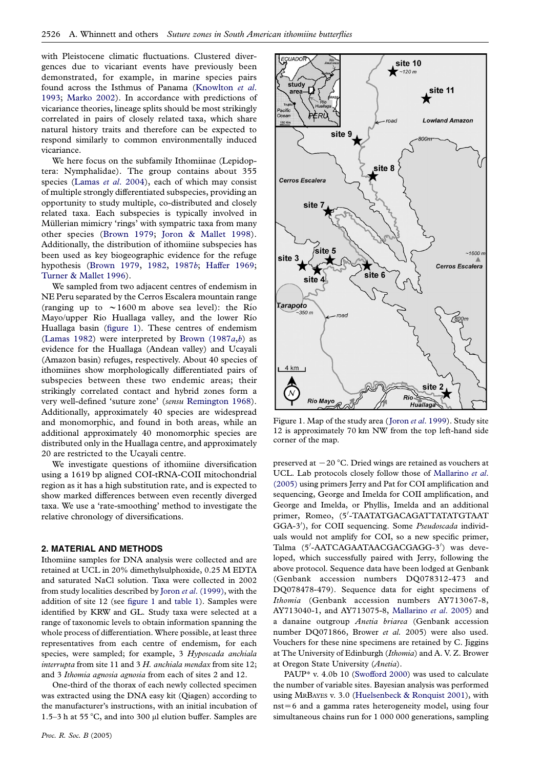with Pleistocene climatic fluctuations. Clustered divergences due to vicariant events have previously been demonstrated, for example, in marine species pairs found across the Isthmus of Panama [\(Knowlton](#page-7-0) et al. [1993](#page-7-0); [Marko 2002](#page-7-0)). In accordance with predictions of vicariance theories, lineage splits should be most strikingly correlated in pairs of closely related taxa, which share natural history traits and therefore can be expected to respond similarly to common environmentally induced vicariance.

We here focus on the subfamily Ithomiinae (Lepidoptera: Nymphalidae). The group contains about 355 species (Lamas et al[. 2004](#page-7-0)), each of which may consist of multiple strongly differentiated subspecies, providing an opportunity to study multiple, co-distributed and closely related taxa. Each subspecies is typically involved in Müllerian mimicry 'rings' with sympatric taxa from many other species ([Brown 1979](#page-6-0); [Joron & Mallet 1998\)](#page-7-0). Additionally, the distribution of ithomiine subspecies has been used as key biogeographic evidence for the refuge hypothesis [\(Brown 1979,](#page-6-0) [1982,](#page-6-0) [1987](#page-7-0)b; [Haffer 1969;](#page-7-0) [Turner & Mallet 1996](#page-8-0)).

We sampled from two adjacent centres of endemism in NE Peru separated by the Cerros Escalera mountain range (ranging up to  $\sim 1600 \text{ m}$  above sea level): the Rio Mayo/upper Río Huallaga valley, and the lower Río Huallaga basin (figure 1). These centres of endemism ([Lamas 1982\)](#page-7-0) were interpreted [b](#page-7-0)y Brown  $(1987a,b)$  as evidence for the Huallaga (Andean valley) and Ucayali (Amazon basin) refuges, respectively. About 40 species of ithomiines show morphologically differentiated pairs of subspecies between these two endemic areas; their strikingly correlated contact and hybrid zones form a very well-defined 'suture zone' (sensu [Remington 1968](#page-7-0)). Additionally, approximately 40 species are widespread and monomorphic, and found in both areas, while an additional approximately 40 monomorphic species are distributed only in the Huallaga centre, and approximately 20 are restricted to the Ucayali centre.

We investigate questions of ithomiine diversification using a 1619 bp aligned COI-tRNA-COII mitochondrial region as it has a high substitution rate, and is expected to show marked differences between even recently diverged taxa. We use a 'rate-smoothing' method to investigate the relative chronology of diversifications.

### 2. MATERIAL AND METHODS

Ithomiine samples for DNA analysis were collected and are retained at UCL in 20% dimethylsulphoxide, 0.25 M EDTA and saturated NaCl solution. Taxa were collected in 2002 from study localities described by Joron et al[. \(1999\),](#page-7-0) with the addition of site 12 (see figure 1 and [table 1](#page-2-0)). Samples were identified by KRW and GL. Study taxa were selected at a range of taxonomic levels to obtain information spanning the whole process of differentiation. Where possible, at least three representatives from each centre of endemism, for each species, were sampled; for example, 3 Hyposcada anchiala interrupta from site 11 and 3 H. anchiala mendax from site 12; and 3 Ithomia agnosia agnosia from each of sites 2 and 12.

One-third of the thorax of each newly collected specimen was extracted using the DNA easy kit (Qiagen) according to the manufacturer's instructions, with an initial incubation of 1.5–3 h at 55 °C, and into 300  $\mu$ l elution buffer. Samples are



Figure 1. Map of the study area (Joron et al[. 1999](#page-7-0)). Study site 12 is approximately 70 km NW from the top left-hand side corner of the map.

preserved at  $-20$  °C. Dried wings are retained as vouchers at UCL. Lab protocols closely follow those of [Mallarino](#page-7-0) et al. [\(2005\)](#page-7-0) using primers Jerry and Pat for COI amplification and sequencing, George and Imelda for COII amplification, and George and Imelda, or Phyllis, Imelda and an additional primer, Romeo, (5'-TAATATGACAGATTATATGTAAT GGA-3'), for COII sequencing. Some Pseudoscada individuals would not amplify for COI, so a new specific primer, Talma (5'-AATCAGAATAACGACGAGG-3') was developed, which successfully paired with Jerry, following the above protocol. Sequence data have been lodged at Genbank (Genbank accession numbers DQ078312-473 and DQ078478-479). Sequence data for eight specimens of Ithomia (Genbank accession numbers AY713067-8, AY713040-1, and AY713075-8, [Mallarino](#page-7-0) et al. 2005) and a danaine outgroup Anetia briarea (Genbank accession number DQ071866, Brower et al. 2005) were also used. Vouchers for these nine specimens are retained by C. Jiggins at The University of Edinburgh (Ithomia) and A. V. Z. Brower at Oregon State University (Anetia).

PAUP\* v. 4.0b 10 ([Swofford 2000](#page-7-0)) was used to calculate the number of variable sites. Bayesian analysis was performed using MRBAYES v. 3.0 [\(Huelsenbeck & Ronquist 2001\)](#page-7-0), with  $nst = 6$  and a gamma rates heterogeneity model, using four simultaneous chains run for 1 000 000 generations, sampling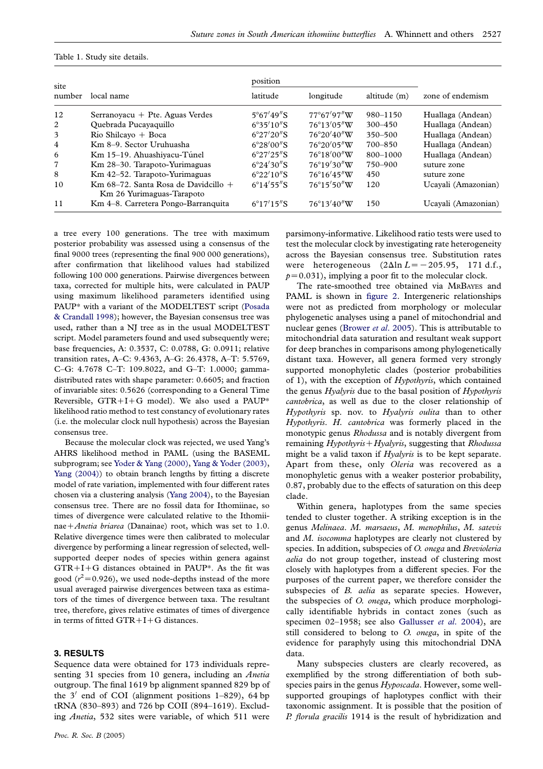| site<br>number |                                                                   | position                   |                       |              |                     |
|----------------|-------------------------------------------------------------------|----------------------------|-----------------------|--------------|---------------------|
|                | local name                                                        | latitude                   | longitude             |              | zone of endemism    |
| 12             | Serranoyacu $+$ Pte. Aguas Verdes                                 | $5^{\circ}67'49''S$        | $77^{\circ}67'97''W$  | $980 - 1150$ | Huallaga (Andean)   |
| 2              | Quebrada Pucayaquillo                                             | $6^{\circ}35'10''\text{S}$ | $76^{\circ}13'05''W$  | $300 - 450$  | Huallaga (Andean)   |
| 3              | $\mathrm{R}$ ío Shilcayo + Boca                                   | $6^{\circ}27'20''S$        | $76^{\circ}20'40''W$  | $350 - 500$  | Huallaga (Andean)   |
| $\overline{4}$ | Km 8-9. Sector Uruhuasha                                          | $6^{\circ}28'00''S$        | $76^{\circ}20'05''W$  | $700 - 850$  | Huallaga (Andean)   |
| 6              | Km 15–19. Ahuashiyacu-Túnel                                       | $6^{\circ}27'25''\text{S}$ | $76^{\circ}18'00''W$  | 800-1000     | Huallaga (Andean)   |
| 7              | Km 28-30. Tarapoto-Yurimaguas                                     | $6^{\circ}24'30''S$        | $76^{\circ}19'30''W$  | 750-900      | suture zone         |
| 8              | Km 42-52. Tarapoto-Yurimaguas                                     | $6^{\circ}22'10''\text{S}$ | $76^{\circ}16'45''$ W | 450          | suture zone         |
| 10             | Km 68–72. Santa Rosa de Davidcillo +<br>Km 26 Yurimaguas-Tarapoto | $6^{\circ}14'55''S$        | $76^{\circ}15'50''$ W | 120          | Ucayali (Amazonian) |
| 11             | Km 4-8. Carretera Pongo-Barranquita                               | $6^{\circ}17'15''S$        | $76^{\circ}13'40''$ W | 150          | Ucayali (Amazonian) |

<span id="page-2-0"></span>Table 1. Study site details.

a tree every 100 generations. The tree with maximum posterior probability was assessed using a consensus of the final 9000 trees (representing the final 900 000 generations), after confirmation that likelihood values had stabilized following 100 000 generations. Pairwise divergences between taxa, corrected for multiple hits, were calculated in PAUP using maximum likelihood parameters identified using PAUP\* with a variant of the MODELTEST script ([Posada](#page-7-0) [& Crandall 1998\)](#page-7-0); however, the Bayesian consensus tree was used, rather than a NJ tree as in the usual MODELTEST script. Model parameters found and used subsequently were; base frequencies, A: 0.3537, C: 0.0788, G: 0.0911; relative transition rates, A–C: 9.4363, A–G: 26.4378, A–T: 5.5769, C–G: 4.7678 C–T: 109.8022, and G–T: 1.0000; gammadistributed rates with shape parameter: 0.6605; and fraction of invariable sites: 0.5626 (corresponding to a General Time Reversible,  $GTR+I+G$  model). We also used a PAUP\* likelihood ratio method to test constancy of evolutionary rates (i.e. the molecular clock null hypothesis) across the Bayesian consensus tree.

Because the molecular clock was rejected, we used Yang's AHRS likelihood method in PAML (using the BASEML subprogram; see [Yoder & Yang \(2000\),](#page-8-0) [Yang & Yoder \(2003\),](#page-8-0) [Yang \(2004\)\)](#page-8-0) to obtain branch lengths by fitting a discrete model of rate variation, implemented with four different rates chosen via a clustering analysis ([Yang 2004](#page-8-0)), to the Bayesian consensus tree. There are no fossil data for Ithomiinae, so times of divergence were calculated relative to the Ithomiinae + Anetia briarea (Danainae) root, which was set to 1.0. Relative divergence times were then calibrated to molecular divergence by performing a linear regression of selected, wellsupported deeper nodes of species within genera against  $GTR+I+G$  distances obtained in PAUP\*. As the fit was good ( $r^2$  = 0.926), we used node-depths instead of the more usual averaged pairwise divergences between taxa as estimators of the times of divergence between taxa. The resultant tree, therefore, gives relative estimates of times of divergence in terms of fitted  $GTR+I+G$  distances.

## 3. RESULTS

Sequence data were obtained for 173 individuals representing 31 species from 10 genera, including an *Anetia* outgroup. The final 1619 bp alignment spanned 829 bp of the  $3'$  end of COI (alignment positions 1–829), 64 bp tRNA (830–893) and 726 bp COII (894–1619). Excluding Anetia, 532 sites were variable, of which 511 were

parsimony-informative. Likelihood ratio tests were used to test the molecular clock by investigating rate heterogeneity across the Bayesian consensus tree. Substitution rates were heterogeneous  $(2\Delta \ln L=-205.95, 171$  d.f.,  $p=0.031$ , implying a poor fit to the molecular clock.

The rate-smoothed tree obtained via MRBAYES and PAML is shown in [figure 2](#page-4-0). Intergeneric relationships were not as predicted from morphology or molecular phylogenetic analyses using a panel of mitochondrial and nuclear genes ([Brower](#page-6-0) *et al.* 2005). This is attributable to mitochondrial data saturation and resultant weak support for deep branches in comparisons among phylogenetically distant taxa. However, all genera formed very strongly supported monophyletic clades (posterior probabilities of 1), with the exception of *Hypothyris*, which contained the genus Hyalyris due to the basal position of Hypothyris cantobrica, as well as due to the closer relationship of Hypothyris sp. nov. to Hyalyris oulita than to other Hypothyris. H. cantobrica was formerly placed in the monotypic genus Rhodussa and is notably divergent from remaining  $Hv$ *pothyris* +  $Hv$ *alyris*, suggesting that *Rhodussa* might be a valid taxon if Hyalyris is to be kept separate. Apart from these, only Oleria was recovered as a monophyletic genus with a weaker posterior probability, 0.87, probably due to the effects of saturation on this deep clade.

Within genera, haplotypes from the same species tended to cluster together. A striking exception is in the genus Melinaea. M. marsaeus, M. menophilus, M. satevis and *M. isocomma* haplotypes are clearly not clustered by species. In addition, subspecies of O. onega and Brevioleria aelia do not group together, instead of clustering most closely with haplotypes from a different species. For the purposes of the current paper, we therefore consider the subspecies of B. aelia as separate species. However, the subspecies of O. onega, which produce morphologically identifiable hybrids in contact zones (such as specimen 02-1958; see also [Gallusser](#page-7-0) et al. 2004), are still considered to belong to O. onega, in spite of the evidence for paraphyly using this mitochondrial DNA data.

Many subspecies clusters are clearly recovered, as exemplified by the strong differentiation of both subspecies pairs in the genus Hyposcada. However, some wellsupported groupings of haplotypes conflict with their taxonomic assignment. It is possible that the position of P. florula gracilis 1914 is the result of hybridization and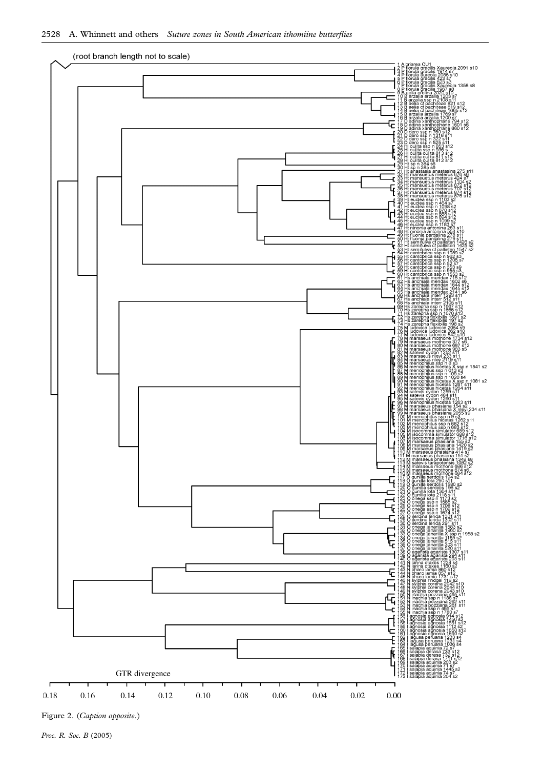

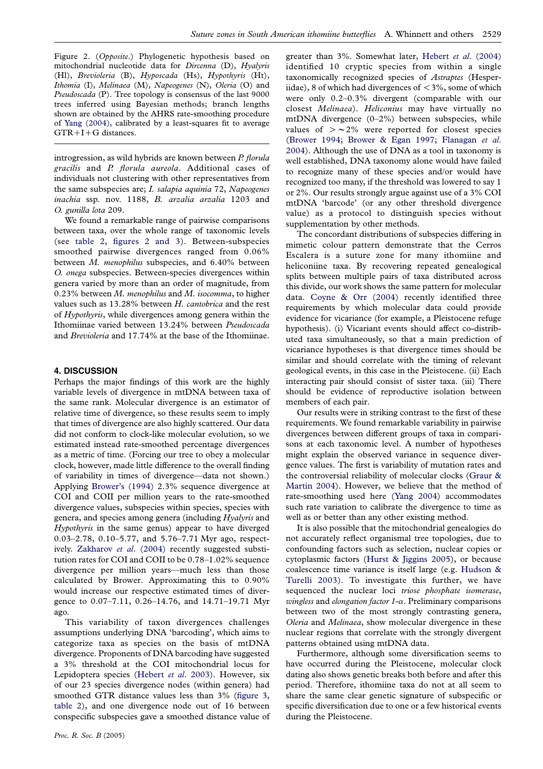<span id="page-4-0"></span>Figure 2. (Opposite.) Phylogenetic hypothesis based on mitochondrial nucleotide data for Dircenna (D), Hyalyris (Hl), Brevioleria (B), Hyposcada (Hs), Hypothyris (Ht), Ithomia (I), Melinaea (M), Napeogenes (N), Oleria (O) and Pseudoscada (P). Tree topology is consensus of the last 9000 trees inferred using Bayesian methods; branch lengths shown are obtained by the AHRS rate-smoothing procedure of [Yang \(2004\)](#page-8-0), calibrated by a least-squares fit to average  $GTR+I+G$  distances.

introgression, as wild hybrids are known between P. florula gracilis and P. florula aureola. Additional cases of individuals not clustering with other representatives from the same subspecies are; I. salapia aquinia 72, Napeogenes inachia ssp. nov. 1188, B. arzalia arzalia 1203 and O. gunilla lota 209.

We found a remarkable range of pairwise comparisons between taxa, over the whole range of taxonomic levels (see [table 2,](#page-5-0) figures 2 and 3). Between-subspecies smoothed pairwise divergences ranged from 0.06% between M. menophilus subspecies, and 6.40% between O. onega subspecies. Between-species divergences within genera varied by more than an order of magnitude, from  $0.23\%$  between M. menophilus and M. isocomma, to higher values such as 13.28% between H. cantobrica and the rest of Hypothyris, while divergences among genera within the Ithomiinae varied between 13.24% between Pseudoscada and Brevioleria and 17.74% at the base of the Ithomiinae.

### 4. DISCUSSION

Perhaps the major findings of this work are the highly variable levels of divergence in mtDNA between taxa of the same rank. Molecular divergence is an estimator of relative time of divergence, so these results seem to imply that times of divergence are also highly scattered. Our data did not conform to clock-like molecular evolution, so we estimated instead rate-smoothed percentage divergences as a metric of time. (Forcing our tree to obey a molecular clock, however, made little difference to the overall finding of variability in times of divergence—data not shown.) Applying [Brower's \(1994\)](#page-6-0) 2.3% sequence divergence at COI and COII per million years to the rate-smoothed divergence values, subspecies within species, species with genera, and species among genera (including Hyalyris and Hypothyris in the same genus) appear to have diverged 0.03–2.78, 0.10–5.77, and 5.76–7.71 Myr ago, respect-ively. [Zakharov](#page-8-0) et al. (2004) recently suggested substitution rates for COI and COII to be 0.78–1.02% sequence divergence per million years—much less than those calculated by Brower. Approximating this to 0.90% would increase our respective estimated times of divergence to 0.07–7.11, 0.26–14.76, and 14.71–19.71 Myr ago.

This variability of taxon divergences challenges assumptions underlying DNA 'barcoding', which aims to categorize taxa as species on the basis of mtDNA divergence. Proponents of DNA barcoding have suggested a 3% threshold at the COI mitochondrial locus for Lepidoptera species [\(Hebert](#page-7-0) et al. 2003). However, six of our 23 species divergence nodes (within genera) had smoothed GTR distance values less than 3% ([figure 3,](#page-6-0) [table 2](#page-5-0)), and one divergence node out of 16 between conspecific subspecies gave a smoothed distance value of greater than 3%. Somewhat later, Hebert et al[. \(2004\)](#page-7-0) identified 10 cryptic species from within a single taxonomically recognized species of Astraptes (Hesperiidae), 8 of which had divergences of  $\langle 3\%,$  some of which were only 0.2–0.3% divergent (comparable with our closest Melinaea). Heliconius may have virtually no mtDNA divergence (0–2%) between subspecies, while values of  $> \sim 2\%$  were reported for closest species ([Brower 1994](#page-6-0); [Brower & Egan 1997](#page-6-0); [Flanagan](#page-7-0) et al. [2004](#page-7-0)). Although the use of DNA as a tool in taxonomy is well established, DNA taxonomy alone would have failed to recognize many of these species and/or would have recognized too many, if the threshold was lowered to say 1 or 2%. Our results strongly argue against use of a 3% COI mtDNA 'barcode' (or any other threshold divergence value) as a protocol to distinguish species without supplementation by other methods.

The concordant distributions of subspecies differing in mimetic colour pattern demonstrate that the Cerros Escalera is a suture zone for many ithomiine and heliconiine taxa. By recovering repeated genealogical splits between multiple pairs of taxa distributed across this divide, our work shows the same pattern for molecular data. [Coyne & Orr \(2004\)](#page-7-0) recently identified three requirements by which molecular data could provide evidence for vicariance (for example, a Pleistocene refuge hypothesis). (i) Vicariant events should affect co-distributed taxa simultaneously, so that a main prediction of vicariance hypotheses is that divergence times should be similar and should correlate with the timing of relevant geological events, in this case in the Pleistocene. (ii) Each interacting pair should consist of sister taxa. (iii) There should be evidence of reproductive isolation between members of each pair.

Our results were in striking contrast to the first of these requirements. We found remarkable variability in pairwise divergences between different groups of taxa in comparisons at each taxonomic level. A number of hypotheses might explain the observed variance in sequence divergence values. The first is variability of mutation rates and the controversial reliability of molecular clocks [\(Graur &](#page-7-0) [Martin 2004](#page-7-0)). However, we believe that the method of rate-smoothing used here [\(Yang 2004](#page-8-0)) accommodates such rate variation to calibrate the divergence to time as well as or better than any other existing method.

It is also possible that the mitochondrial genealogies do not accurately reflect organismal tree topologies, due to confounding factors such as selection, nuclear copies or cytoplasmic factors ([Hurst & Jiggins 2005\)](#page-7-0), or because coalescence time variance is itself large (e.g. [Hudson &](#page-7-0) [Turelli 2003\)](#page-7-0). To investigate this further, we have sequenced the nuclear loci triose phosphate isomerase, wingless and elongation factor 1-*a*. Preliminary comparisons between two of the most strongly contrasting genera, Oleria and Melinaea, show molecular divergence in these nuclear regions that correlate with the strongly divergent patterns obtained using mtDNA data.

Furthermore, although some diversification seems to have occurred during the Pleistocene, molecular clock dating also shows genetic breaks both before and after this period. Therefore, ithomiine taxa do not at all seem to share the same clear genetic signature of subspecific or specific diversification due to one or a few historical events during the Pleistocene.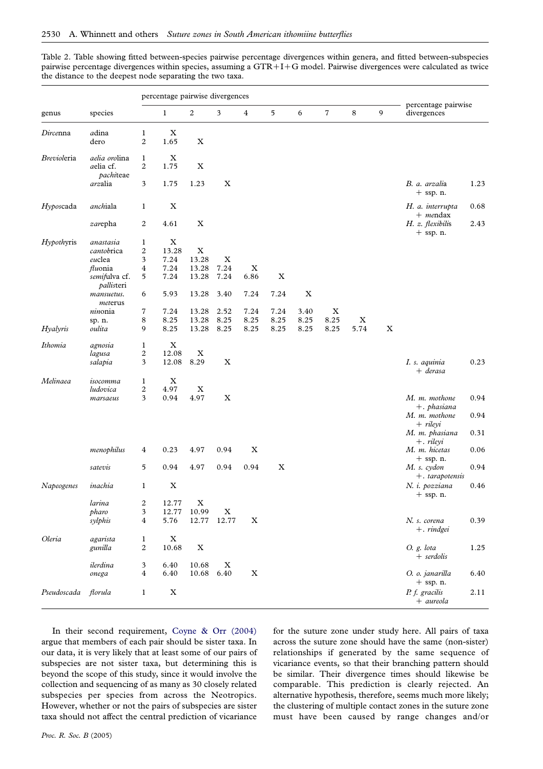<span id="page-5-0"></span>Table 2. Table showing fitted between-species pairwise percentage divergences within genera, and fitted between-subspecies pairwise percentage divergences within species, assuming a  $GTR+I+G$  model. Pairwise divergences were calculated as twice the distance to the deepest node separating the two taxa.

|             | species                     | percentage pairwise divergences |                           |                           |             |             |                           |             |                |             |             |                                    |      |
|-------------|-----------------------------|---------------------------------|---------------------------|---------------------------|-------------|-------------|---------------------------|-------------|----------------|-------------|-------------|------------------------------------|------|
| genus       |                             |                                 | $\mathbf{1}$              | $\boldsymbol{2}$          | 3           | 4           | 5                         | 6           | $\overline{7}$ | 8           | 9           | percentage pairwise<br>divergences |      |
| Dircenna    | adina                       | 1                               | $\boldsymbol{\mathrm{X}}$ |                           |             |             |                           |             |                |             |             |                                    |      |
|             | dero                        | $\overline{2}$                  | 1.65                      | $\mathbf X$               |             |             |                           |             |                |             |             |                                    |      |
| Brevioleria | aelia orolina               | $\mathbf{1}$                    | $\boldsymbol{\mathrm{X}}$ |                           |             |             |                           |             |                |             |             |                                    |      |
|             | aelia cf.                   | 2                               | 1.75                      | $\mathbf X$               |             |             |                           |             |                |             |             |                                    |      |
|             | pachiteae                   |                                 |                           |                           |             |             |                           |             |                |             |             |                                    |      |
|             | arzalia                     | 3                               | 1.75                      | 1.23                      | $\mathbf X$ |             |                           |             |                |             |             | B. a. arzalia<br>$+$ ssp. n.       | 1.23 |
| Hyposcada   | anchiala                    | $\mathbf{1}$                    | $\mathbf X$               |                           |             |             |                           |             |                |             |             | H. a. interrupta<br>$+$ mendax     | 0.68 |
|             | zarepha                     | 2                               | 4.61                      | $\mathbf X$               |             |             |                           |             |                |             |             | H. z. flexibilis<br>$+$ ssp. n.    | 2.43 |
| Hypothyris  | anastasia                   | $\mathbf{1}$                    | $\mathbf X$               |                           |             |             |                           |             |                |             |             |                                    |      |
|             | cantobrica                  | $\overline{2}$                  | 13.28                     | X                         |             |             |                           |             |                |             |             |                                    |      |
|             | euclea                      | 3                               | 7.24                      | 13.28                     | X           |             |                           |             |                |             |             |                                    |      |
|             | fluonia                     | 4                               | 7.24                      | 13.28                     | 7.24        | $\mathbf X$ |                           |             |                |             |             |                                    |      |
|             | semifulva cf.<br>pallisteri | 5                               | 7.24                      | 13.28                     | 7.24        | 6.86        | $\boldsymbol{\mathrm{X}}$ |             |                |             |             |                                    |      |
|             | mansuetus.<br>meterus       | 6                               | 5.93                      | 13.28                     | 3.40        | 7.24        | 7.24                      | $\mathbf X$ |                |             |             |                                    |      |
|             | ninonia                     | 7                               | 7.24                      | 13.28                     | 2.52        | 7.24        | 7.24                      | 3.40        | X              |             |             |                                    |      |
|             | sp. n.                      | 8                               | 8.25                      | 13.28                     | 8.25        | 8.25        | 8.25                      | 8.25        | 8.25           | $\mathbf X$ |             |                                    |      |
| Hyalyris    | oulita                      | 9                               | 8.25                      | 13.28                     | 8.25        | 8.25        | 8.25                      | 8.25        | 8.25           | 5.74        | $\mathbf X$ |                                    |      |
| Ithomia     | agnosia                     | $\mathbf{1}$                    | $\mathbf X$               |                           |             |             |                           |             |                |             |             |                                    |      |
|             | lagusa                      | 2                               | 12.08                     | $\boldsymbol{\mathrm{X}}$ |             |             |                           |             |                |             |             |                                    |      |
|             | salapia                     | 3                               | 12.08                     | 8.29                      | $\mathbf X$ |             |                           |             |                |             |             | I. s. aquinia<br>$+$ derasa        | 0.23 |
| Melinaea    | isocomma                    | $\mathbf{1}$                    | $\mathbf X$               |                           |             |             |                           |             |                |             |             |                                    |      |
|             | ludovica                    | $\overline{c}$                  | 4.97                      | $\mathbf X$               |             |             |                           |             |                |             |             |                                    |      |
|             | marsaeus                    | 3                               | 0.94                      | 4.97                      | $\mathbf X$ |             |                           |             |                |             |             | M. m. mothone<br>$+$ . phasiana    | 0.94 |
|             |                             |                                 |                           |                           |             |             |                           |             |                |             |             | M. m. mothone                      | 0.94 |
|             |                             |                                 |                           |                           |             |             |                           |             |                |             |             | + rileyi<br>M. m. phasiana         | 0.31 |
|             | menophilus                  | 4                               | 0.23                      | 4.97                      | 0.94        | $\mathbf X$ |                           |             |                |             |             | $+$ . rileyi<br>M. m. hicetas      | 0.06 |
|             | satevis                     | 5                               | 0.94                      | 4.97                      | 0.94        | 0.94        | $\mathbf X$               |             |                |             |             | $+$ ssp. n.<br>M. s. cydon         | 0.94 |
| Napeogenes  | inachia                     | 1                               | $\mathbf X$               |                           |             |             |                           |             |                |             |             | +. tarapotensis<br>N. i. pozziana  | 0.46 |
|             | larina                      | $\boldsymbol{2}$                | 12.77                     | $\mathbf X$               |             |             |                           |             |                |             |             | $+$ ssp. n.                        |      |
|             | pharo                       | 3                               | 12.77                     | 10.99                     | $\mathbf X$ |             |                           |             |                |             |             |                                    |      |
|             | sylphis                     | 4                               | 5.76                      | 12.77                     | 12.77       | $\mathbf X$ |                           |             |                |             |             | N. s. corena                       | 0.39 |
|             |                             |                                 |                           |                           |             |             |                           |             |                |             |             | $+$ . rindgei                      |      |
| Oleria      | agarista                    | $\mathbf{1}$                    | $\mathbf X$               |                           |             |             |                           |             |                |             |             |                                    |      |
|             | gunilla                     | 2                               | 10.68                     | $\mathbf X$               |             |             |                           |             |                |             |             | O. g. lota<br>$+$ serdolis         | 1.25 |
|             | ilerdina                    | 3<br>$\overline{\mathbf{4}}$    | 6.40<br>6.40              | 10.68                     | X<br>6.40   | $\mathbf X$ |                           |             |                |             |             |                                    |      |
|             | onega                       |                                 |                           | 10.68                     |             |             |                           |             |                |             |             | O. o. janarilla<br>$+$ ssp. n.     | 6.40 |
| Pseudoscada | florula                     | $\mathbf{1}$                    | $\mathbf X$               |                           |             |             |                           |             |                |             |             | P. f. gracilis<br>$+$ aureola      | 2.11 |

In their second requirement, [Coyne & Orr \(2004\)](#page-7-0) argue that members of each pair should be sister taxa. In our data, it is very likely that at least some of our pairs of subspecies are not sister taxa, but determining this is beyond the scope of this study, since it would involve the collection and sequencing of as many as 30 closely related subspecies per species from across the Neotropics. However, whether or not the pairs of subspecies are sister taxa should not affect the central prediction of vicariance

for the suture zone under study here. All pairs of taxa across the suture zone should have the same (non-sister) relationships if generated by the same sequence of vicariance events, so that their branching pattern should be similar. Their divergence times should likewise be comparable. This prediction is clearly rejected. An alternative hypothesis, therefore, seems much more likely; the clustering of multiple contact zones in the suture zone must have been caused by range changes and/or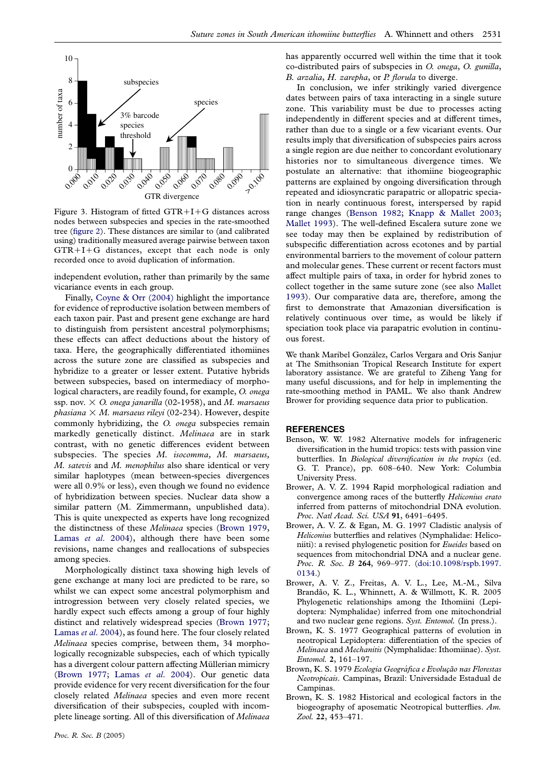<span id="page-6-0"></span>

Figure 3. Histogram of fitted  $GTR+I+G$  distances across nodes between subspecies and species in the rate-smoothed tree ([figure 2\)](#page-4-0). These distances are similar to (and calibrated using) traditionally measured average pairwise between taxon  $GTR+I+G$  distances, except that each node is only recorded once to avoid duplication of information.

independent evolution, rather than primarily by the same vicariance events in each group.

Finally, [Coyne & Orr \(2004\)](#page-7-0) highlight the importance for evidence of reproductive isolation between members of each taxon pair. Past and present gene exchange are hard to distinguish from persistent ancestral polymorphisms; these effects can affect deductions about the history of taxa. Here, the geographically differentiated ithomiines across the suture zone are classified as subspecies and hybridize to a greater or lesser extent. Putative hybrids between subspecies, based on intermediacy of morphological characters, are readily found, for example, O. onega ssp. nov.  $\times$  O. onega janarilla (02-1958), and M. marsaeus phasiana  $\times$  M. marsaeus rileyi (02-234). However, despite commonly hybridizing, the O. onega subspecies remain markedly genetically distinct. Melinaea are in stark contrast, with no genetic differences evident between subspecies. The species M. isocomma, M. marsaeus, M. satevis and M. menophilus also share identical or very similar haplotypes (mean between-species divergences were all 0.9% or less), even though we found no evidence of hybridization between species. Nuclear data show a similar pattern (M. Zimmermann, unpublished data). This is quite unexpected as experts have long recognized the distinctness of these Melinaea species (Brown 1979, Lamas et al[. 2004](#page-7-0)), although there have been some revisions, name changes and reallocations of subspecies among species.

Morphologically distinct taxa showing high levels of gene exchange at many loci are predicted to be rare, so whilst we can expect some ancestral polymorphism and introgression between very closely related species, we hardly expect such effects among a group of four highly distinct and relatively widespread species (Brown 1977; [Lamas](#page-7-0) et al. 2004), as found here. The four closely related Melinaea species comprise, between them, 34 morphologically recognizable subspecies, each of which typically has a divergent colour pattern affecting Müllerian mimicry (Brown 1977; Lamas et al[. 2004\)](#page-7-0). Our genetic data provide evidence for very recent diversification for the four closely related Melinaea species and even more recent diversification of their subspecies, coupled with incomplete lineage sorting. All of this diversification of Melinaea has apparently occurred well within the time that it took co-distributed pairs of subspecies in O. onega, O. gunilla, B. arzalia, H. zarepha, or P. florula to diverge.

In conclusion, we infer strikingly varied divergence dates between pairs of taxa interacting in a single suture zone. This variability must be due to processes acting independently in different species and at different times, rather than due to a single or a few vicariant events. Our results imply that diversification of subspecies pairs across a single region are due neither to concordant evolutionary histories nor to simultaneous divergence times. We postulate an alternative: that ithomiine biogeographic patterns are explained by ongoing diversification through repeated and idiosyncratic parapatric or allopatric speciation in nearly continuous forest, interspersed by rapid range changes (Benson 1982; [Knapp & Mallet 2003;](#page-7-0) [Mallet 1993\)](#page-7-0). The well-defined Escalera suture zone we see today may then be explained by redistribution of subspecific differentiation across ecotones and by partial environmental barriers to the movement of colour pattern and molecular genes. These current or recent factors must affect multiple pairs of taxa, in order for hybrid zones to collect together in the same suture zone (see also [Mallet](#page-7-0) [1993](#page-7-0)). Our comparative data are, therefore, among the first to demonstrate that Amazonian diversification is relatively continuous over time, as would be likely if speciation took place via parapatric evolution in continuous forest.

We thank Maribel González, Carlos Vergara and Oris Sanjur at The Smithsonian Tropical Research Institute for expert laboratory assistance. We are grateful to Ziheng Yang for many useful discussions, and for help in implementing the rate-smoothing method in PAML. We also thank Andrew Brower for providing sequence data prior to publication.

#### REFERENCES

- Benson, W. W. 1982 Alternative models for infrageneric diversification in the humid tropics: tests with passion vine butterflies. In Biological diversification in the tropics (ed. G. T. Prance), pp. 608–640. New York: Columbia University Press.
- Brower, A. V. Z. 1994 Rapid morphological radiation and convergence among races of the butterfly Heliconius erato inferred from patterns of mitochondrial DNA evolution. Proc. Natl Acad. Sci. USA 91, 6491-6495.
- Brower, A. V. Z. & Egan, M. G. 1997 Cladistic analysis of Heliconius butterflies and relatives (Nymphalidae: Heliconiiti): a revised phylogenetic position for Eueides based on sequences from mitochondrial DNA and a nuclear gene. Proc. R. Soc. B 264, 969-977. ([doi:10.1098/rspb.1997.](http://dx.doi.org/doi:10.1098/rspb.1997.0134) [0134.\)](http://dx.doi.org/doi:10.1098/rspb.1997.0134)
- Brower, A. V. Z., Freitas, A. V. L., Lee, M.-M., Silva Brandão, K. L., Whinnett, A. & Willmott, K. R. 2005 Phylogenetic relationships among the Ithomiini (Lepidoptera: Nymphalidae) inferred from one mitochondrial and two nuclear gene regions. Syst. Entomol. (In press.).
- Brown, K. S. 1977 Geographical patterns of evolution in neotropical Lepidoptera: differentiation of the species of Melinaea and Mechanitis (Nymphalidae: Ithomiinae). Syst. Entomol. 2, 161–197.
- Brown, K. S. 1979 Ecologia Geográfica e Evolução nas Florestas Neotropicais. Campinas, Brazil: Universidade Estadual de Campinas.
- Brown, K. S. 1982 Historical and ecological factors in the biogeography of aposematic Neotropical butterflies. Am. Zool. 22, 453–471.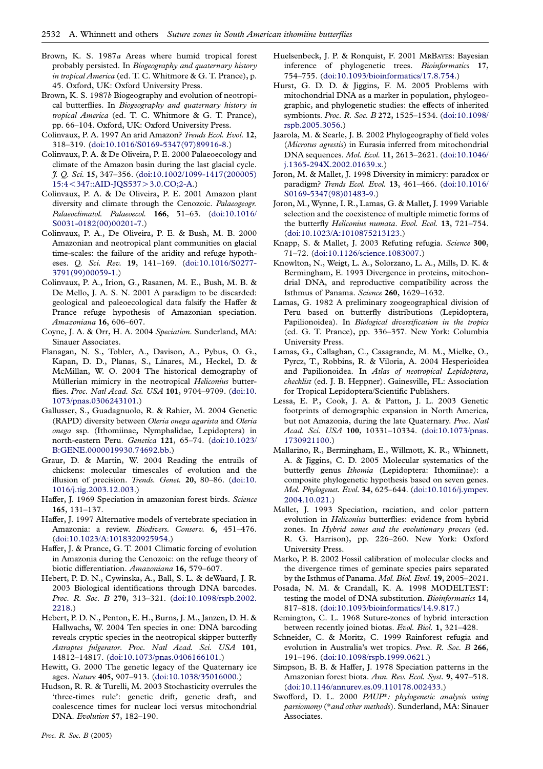- <span id="page-7-0"></span>Brown, K. S. 1987a Areas where humid tropical forest probably persisted. In Biogeography and quaternary history in tropical America (ed. T. C. Whitmore & G. T. Prance), p. 45. Oxford, UK: Oxford University Press.
- Brown, K. S. 1987b Biogeography and evolution of neotropical butterflies. In Biogeography and quaternary history in tropical America (ed. T. C. Whitmore & G. T. Prance), pp. 66–104. Oxford, UK: Oxford University Press.
- Colinvaux, P. A. 1997 An arid Amazon? Trends Ecol. Evol. 12, 318–319. [\(doi:10.1016/S0169-5347\(97\)89916-8.\)](http://dx.doi.org/doi:10.1016/S0169-5347(97)89916-8)
- Colinvaux, P. A. & De Oliveira, P. E. 2000 Palaeoecology and climate of the Amazon basin during the last glacial cycle. J. Q. Sci. 15, 347–356. [\(doi:10.1002/1099-1417\(200005\)](http://dx.doi.org/doi:10.1002/1099-1417(200005)15:4%3C347::AID-JQS537%3E3.0.CO;2-A) 15:4 < [347::AID-JQS537](http://dx.doi.org/doi:10.1002/1099-1417(200005)15:4%3C347::AID-JQS537%3E3.0.CO;2-A) > 3.0.CO;2-A.)
- Colinvaux, P. A. & De Oliveira, P. E. 2001 Amazon plant diversity and climate through the Cenozoic. Palaeogeogr. Palaeoclimatol. Palaeoecol. 166, 51-63. ([doi:10.1016/](http://dx.doi.org/doi:10.1016/S0031-0182(00)00201-7) [S0031-0182\(00\)00201-7.\)](http://dx.doi.org/doi:10.1016/S0031-0182(00)00201-7)
- Colinvaux, P. A., De Oliveira, P. E. & Bush, M. B. 2000 Amazonian and neotropical plant communities on glacial time-scales: the failure of the aridity and refuge hypotheses. *Q. Sci. Rev.* 19, 141-169. [\(doi:10.1016/S0277-](http://dx.doi.org/doi:10.1016/S0277-3791(99)00059-1) [3791\(99\)00059-1.](http://dx.doi.org/doi:10.1016/S0277-3791(99)00059-1))
- Colinvaux, P. A., Irion, G., Rasanen, M. E., Bush, M. B. & De Mello, J. A. S. N. 2001 A paradigm to be discarded: geological and paleoecological data falsify the Haffer & Prance refuge hypothesis of Amazonian speciation. Amazoniana 16, 606–607.
- Coyne, J. A. & Orr, H. A. 2004 Speciation. Sunderland, MA: Sinauer Associates.
- Flanagan, N. S., Tobler, A., Davison, A., Pybus, O. G., Kapan, D. D., Planas, S., Linares, M., Heckel, D. & McMillan, W. O. 2004 The historical demography of Müllerian mimicry in the neotropical Heliconius butterflies. Proc. Natl Acad. Sci. USA 101, 9704-9709. ([doi:10.](http://dx.doi.org/doi:10.1073/pnas.0306243101) [1073/pnas.0306243101.](http://dx.doi.org/doi:10.1073/pnas.0306243101))
- Gallusser, S., Guadagnuolo, R. & Rahier, M. 2004 Genetic (RAPD) diversity between Oleria onega agarista and Oleria onega ssp. (Ithomiinae, Nymphalidae, Lepidoptera) in north-eastern Peru. Genetica 121, 65–74. ([doi:10.1023/](http://dx.doi.org/doi:10.1023/B:GENE.0000019930.74692.bb) [B:GENE.0000019930.74692.bb.\)](http://dx.doi.org/doi:10.1023/B:GENE.0000019930.74692.bb)
- Graur, D. & Martin, W. 2004 Reading the entrails of chickens: molecular timescales of evolution and the illusion of precision. Trends. Genet. 20, 80-86. ([doi:10.](http://dx.doi.org/doi:10.1016/j.tig.2003.12.003) [1016/j.tig.2003.12.003.](http://dx.doi.org/doi:10.1016/j.tig.2003.12.003))
- Haffer, J. 1969 Speciation in amazonian forest birds. Science 165, 131–137.
- Haffer, J. 1997 Alternative models of vertebrate speciation in Amazonia: a review. Biodivers. Conserv. 6, 451-476. ([doi:10.1023/A:1018320925954.\)](http://dx.doi.org/doi:10.1023/A:1018320925954)
- Haffer, J. & Prance, G. T. 2001 Climatic forcing of evolution in Amazonia during the Cenozoic: on the refuge theory of biotic differentiation. Amazoniana 16, 579–607.
- Hebert, P. D. N., Cywinska, A., Ball, S. L. & deWaard, J. R. 2003 Biological identifications through DNA barcodes. Proc. R. Soc. B 270, 313-321. ([doi:10.1098/rspb.2002.](http://dx.doi.org/doi:10.1098/rspb.2002.2218) [2218.\)](http://dx.doi.org/doi:10.1098/rspb.2002.2218)
- Hebert, P. D. N., Penton, E. H., Burns, J. M., Janzen, D. H. & Hallwachs, W. 2004 Ten species in one: DNA barcoding reveals cryptic species in the neotropical skipper butterfly Astraptes fulgerator. Proc. Natl Acad. Sci. USA 101, 14812–14817. [\(doi:10.1073/pnas.0406166101.\)](http://dx.doi.org/doi:10.1073/pnas.0406166101)
- Hewitt, G. 2000 The genetic legacy of the Quaternary ice ages. Nature 405, 907–913. ([doi:10.1038/35016000.\)](http://dx.doi.org/doi:10.1038/35016000)
- Hudson, R. R. & Turelli, M. 2003 Stochasticity overrules the 'three-times rule': genetic drift, genetic draft, and coalescence times for nuclear loci versus mitochondrial DNA. Evolution 57, 182–190.
- Huelsenbeck, J. P. & Ronquist, F. 2001 MRBAYES: Bayesian inference of phylogenetic trees. Bioinformatics 17, 754–755. [\(doi:10.1093/bioinformatics/17.8.754.](http://dx.doi.org/doi:10.1093/bioinformatics/17.8.754))
- Hurst, G. D. D. & Jiggins, F. M. 2005 Problems with mitochondrial DNA as a marker in population, phylogeographic, and phylogenetic studies: the effects of inherited symbionts. Proc. R. Soc. B 272, 1525–1534. ([doi:10.1098/](http://dx.doi.org/doi:10.1098/rspb.2005.3056) [rspb.2005.3056.\)](http://dx.doi.org/doi:10.1098/rspb.2005.3056)
- Jaarola, M. & Searle, J. B. 2002 Phylogeography of field voles (Microtus agrestis) in Eurasia inferred from mitochondrial DNA sequences. Mol. Ecol. 11, 2613–2621. ([doi:10.1046/](http://dx.doi.org/doi:10.1046/j.1365-294X.2002.01639.x) [j.1365-294X.2002.01639.x.\)](http://dx.doi.org/doi:10.1046/j.1365-294X.2002.01639.x)
- Joron, M. & Mallet, J. 1998 Diversity in mimicry: paradox or paradigm? Trends Ecol. Evol. 13, 461–466. ([doi:10.1016/](http://dx.doi.org/doi:10.1016/S0169-5347(98)01483-9) [S0169-5347\(98\)01483-9.\)](http://dx.doi.org/doi:10.1016/S0169-5347(98)01483-9)
- Joron, M., Wynne, I. R., Lamas, G. & Mallet, J. 1999 Variable selection and the coexistence of multiple mimetic forms of the butterfly Heliconius numata. Evol. Ecol. 13, 721-754. ([doi:10.1023/A:1010875213123.\)](http://dx.doi.org/doi:10.1023/A:1010875213123)
- Knapp, S. & Mallet, J. 2003 Refuting refugia. Science 300, 71–72. [\(doi:10.1126/science.1083007.](http://dx.doi.org/doi:10.1126/science.1083007))
- Knowlton, N., Weigt, L. A., Solorzano, L. A., Mills, D. K. & Bermingham, E. 1993 Divergence in proteins, mitochondrial DNA, and reproductive compatibility across the Isthmus of Panama. Science 260, 1629–1632.
- Lamas, G. 1982 A preliminary zoogeographical division of Peru based on butterfly distributions (Lepidoptera, Papilionoidea). In Biological diversification in the tropics (ed. G. T. Prance), pp. 336–357. New York: Columbia University Press.
- Lamas, G., Callaghan, C., Casagrande, M. M., Mielke, O., Pyrcz, T., Robbins, R. & Viloria, A. 2004 Hesperioidea and Papilionoidea. In Atlas of neotropical Lepidoptera, checklist (ed. J. B. Heppner). Gainesville, FL: Association for Tropical Lepidoptera/Scientific Publishers.
- Lessa, E. P., Cook, J. A. & Patton, J. L. 2003 Genetic footprints of demographic expansion in North America, but not Amazonia, during the late Quaternary. Proc. Natl Acad. Sci. USA 100, 10331–10334. [\(doi:10.1073/pnas.](http://dx.doi.org/doi:10.1073/pnas.1730921100) [1730921100.](http://dx.doi.org/doi:10.1073/pnas.1730921100))
- Mallarino, R., Bermingham, E., Willmott, K. R., Whinnett, A. & Jiggins, C. D. 2005 Molecular systematics of the butterfly genus Ithomia (Lepidoptera: Ithomiinae): a composite phylogenetic hypothesis based on seven genes. Mol. Phylogenet. Evol. 34, 625–644. [\(doi:10.1016/j.ympev.](http://dx.doi.org/doi:10.1016/j.ympev.2004.10.021) [2004.10.021.\)](http://dx.doi.org/doi:10.1016/j.ympev.2004.10.021)
- Mallet, J. 1993 Speciation, raciation, and color pattern evolution in Heliconius butterflies: evidence from hybrid zones. In Hybrid zones and the evolutionary process (ed. R. G. Harrison), pp. 226–260. New York: Oxford University Press.
- Marko, P. B. 2002 Fossil calibration of molecular clocks and the divergence times of geminate species pairs separated by the Isthmus of Panama. Mol. Biol. Evol. 19, 2005–2021.
- Posada, N. M. & Crandall, K. A. 1998 MODELTEST: testing the model of DNA substitution. Bioinformatics 14, 817–818. [\(doi:10.1093/bioinformatics/14.9.817.](http://dx.doi.org/doi:10.1093/bioinformatics/14.9.817))
- Remington, C. L. 1968 Suture-zones of hybrid interaction between recently joined biotas. Evol. Biol. 1, 321–428.
- Schneider, C. & Moritz, C. 1999 Rainforest refugia and evolution in Australia's wet tropics. Proc. R. Soc. B 266, 191–196. [\(doi:10.1098/rspb.1999.0621.](http://dx.doi.org/doi:10.1098/rspb.1999.0621))
- Simpson, B. B. & Haffer, J. 1978 Speciation patterns in the Amazonian forest biota. Ann. Rev. Ecol. Syst. 9, 497–518. ([doi:10.1146/annurev.es.09.110178.002433.\)](http://dx.doi.org/doi:10.1146/annurev.es.09.110178.002433)
- Swofford, D. L. 2000 PAUP\*: phylogenetic analysis using parsiomony (\*and other methods). Sunderland, MA: Sinauer Associates.